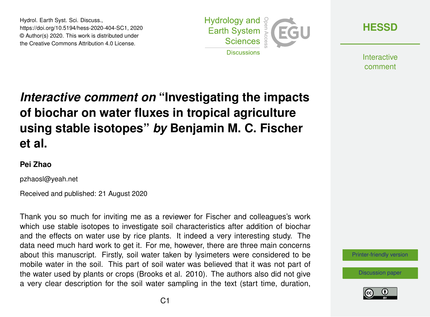Hydrol. Earth Syst. Sci. Discuss., https://doi.org/10.5194/hess-2020-404-SC1, 2020 © Author(s) 2020. This work is distributed under the Creative Commons Attribution 4.0 License.



**[HESSD](https://hess.copernicus.org/preprints/)**

**Interactive** comment

## *Interactive comment on* **"Investigating the impacts of biochar on water fluxes in tropical agriculture using stable isotopes"** *by* **Benjamin M. C. Fischer et al.**

## **Pei Zhao**

pzhaosl@yeah.net

Received and published: 21 August 2020

Thank you so much for inviting me as a reviewer for Fischer and colleagues's work which use stable isotopes to investigate soil characteristics after addition of biochar and the effects on water use by rice plants. It indeed a very interesting study. The data need much hard work to get it. For me, however, there are three main concerns about this manuscript. Firstly, soil water taken by lysimeters were considered to be mobile water in the soil. This part of soil water was believed that it was not part of the water used by plants or crops (Brooks et al. 2010). The authors also did not give a very clear description for the soil water sampling in the text (start time, duration,



[Discussion paper](https://hess.copernicus.org/preprints/hess-2020-404)